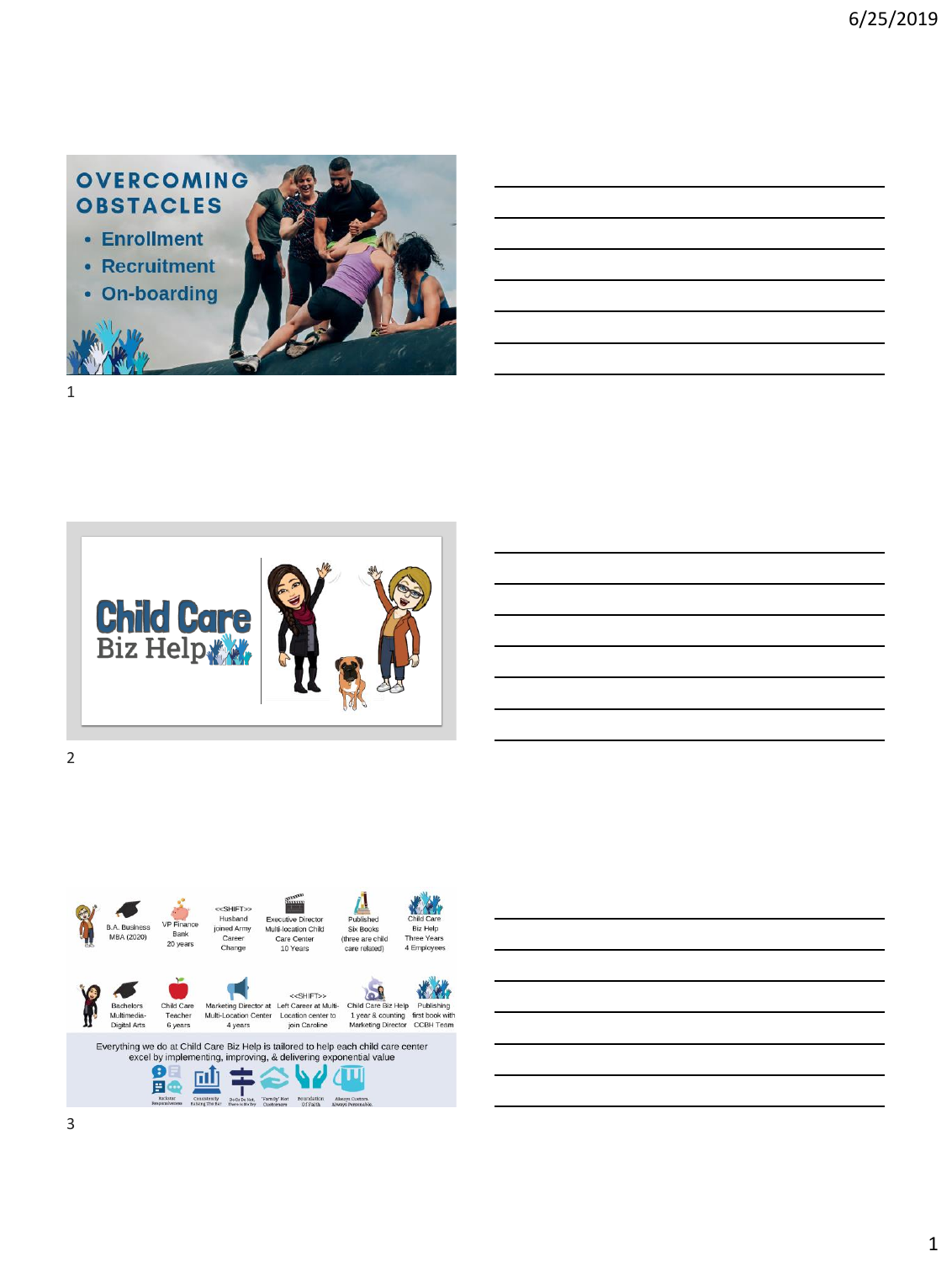





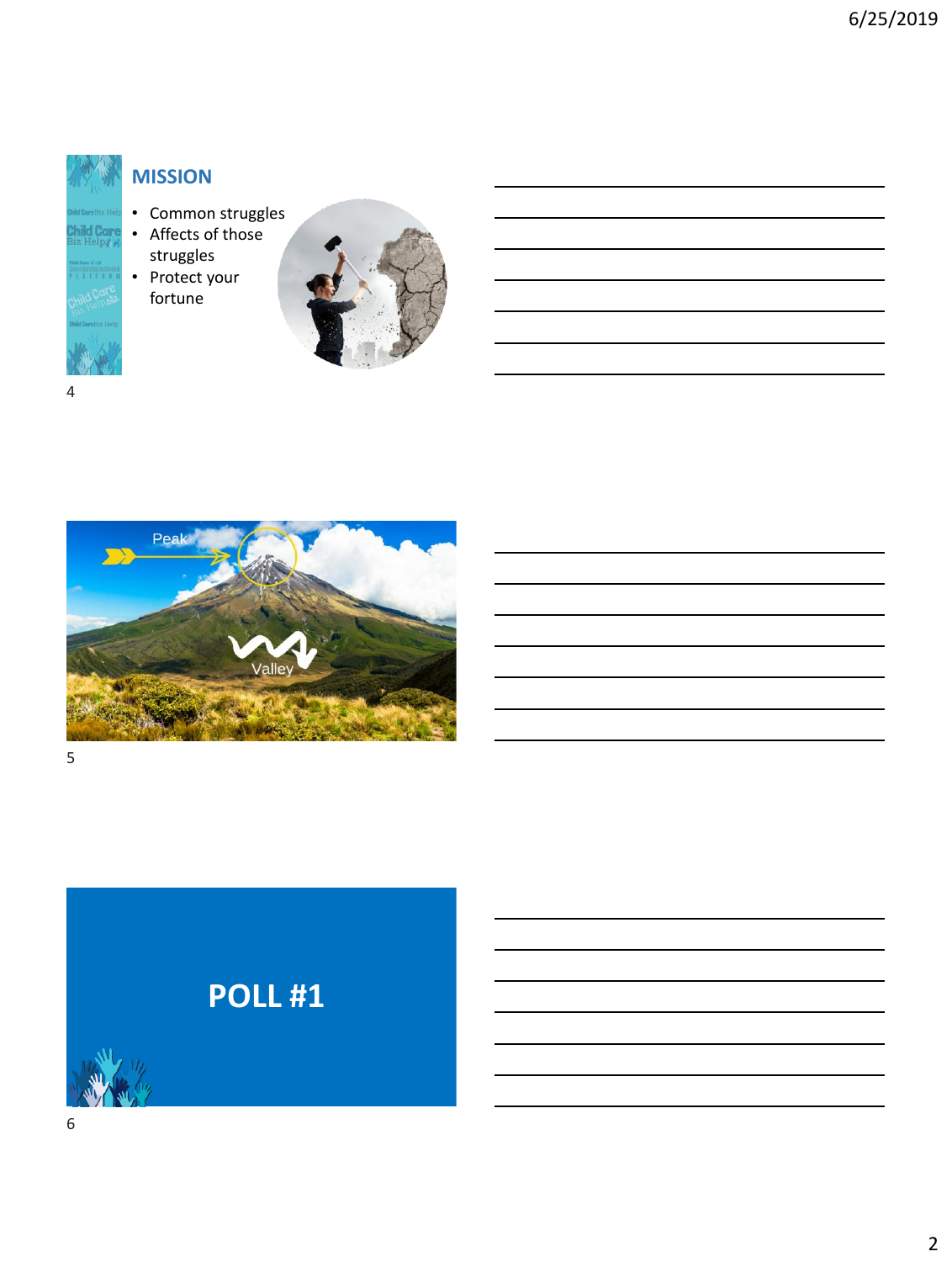

### **MISSION**

- Common struggles
- Affects of those
- struggles • Protect your fortune





# **POLL #1**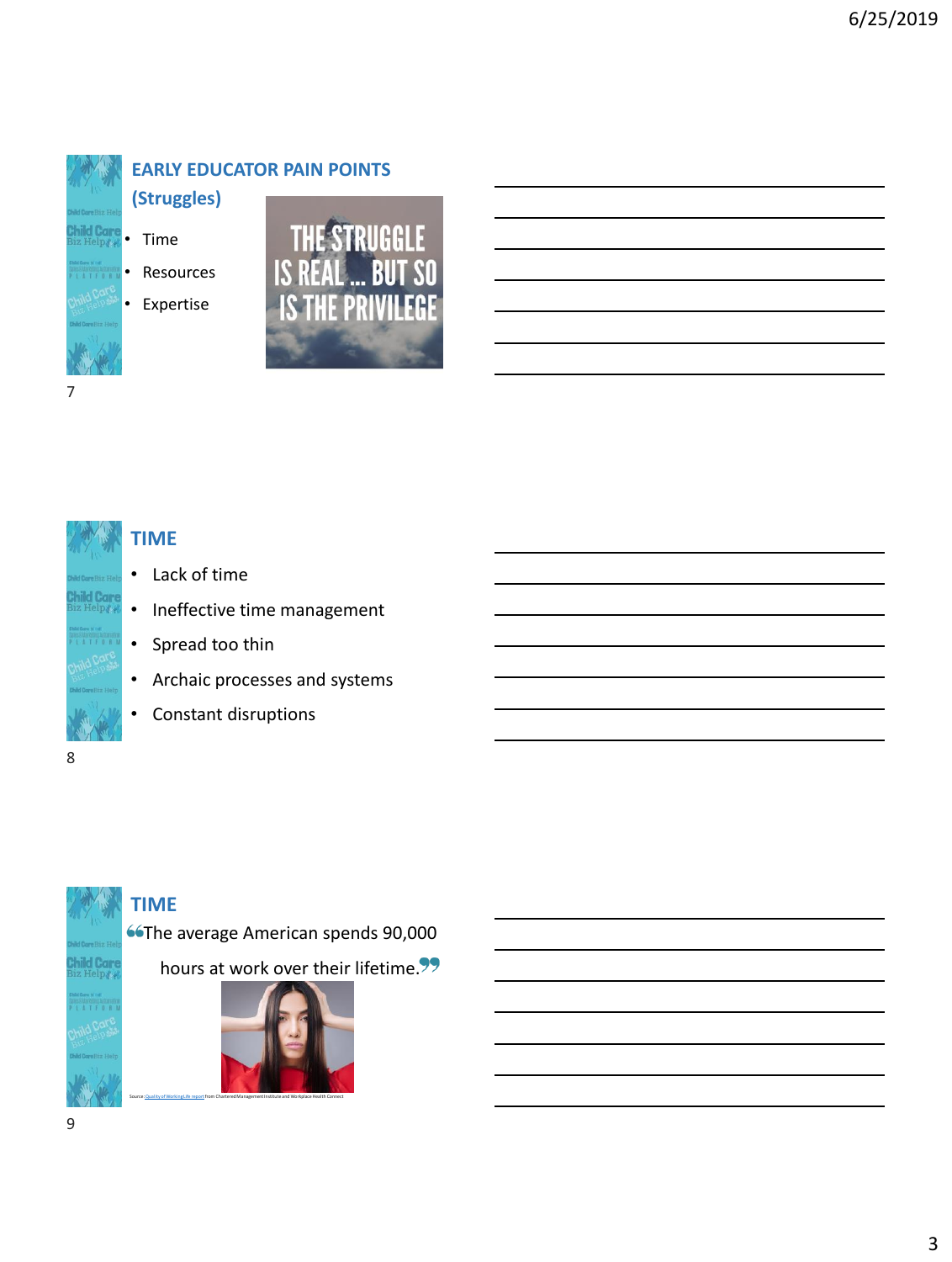

### **EARLY EDUCATOR PAIN POINTS**

• Time **(Struggles)**

**Resources** 

• Expertise





#### **TIME**

- Lack of time
- Ineffective time management
- Spread too thin
- Archaic processes and systems
- Constant disruptions

# 8

#### **TIME**

**66The average American spends 90,000** 

hours at work over their lifetime.<sup>99</sup>

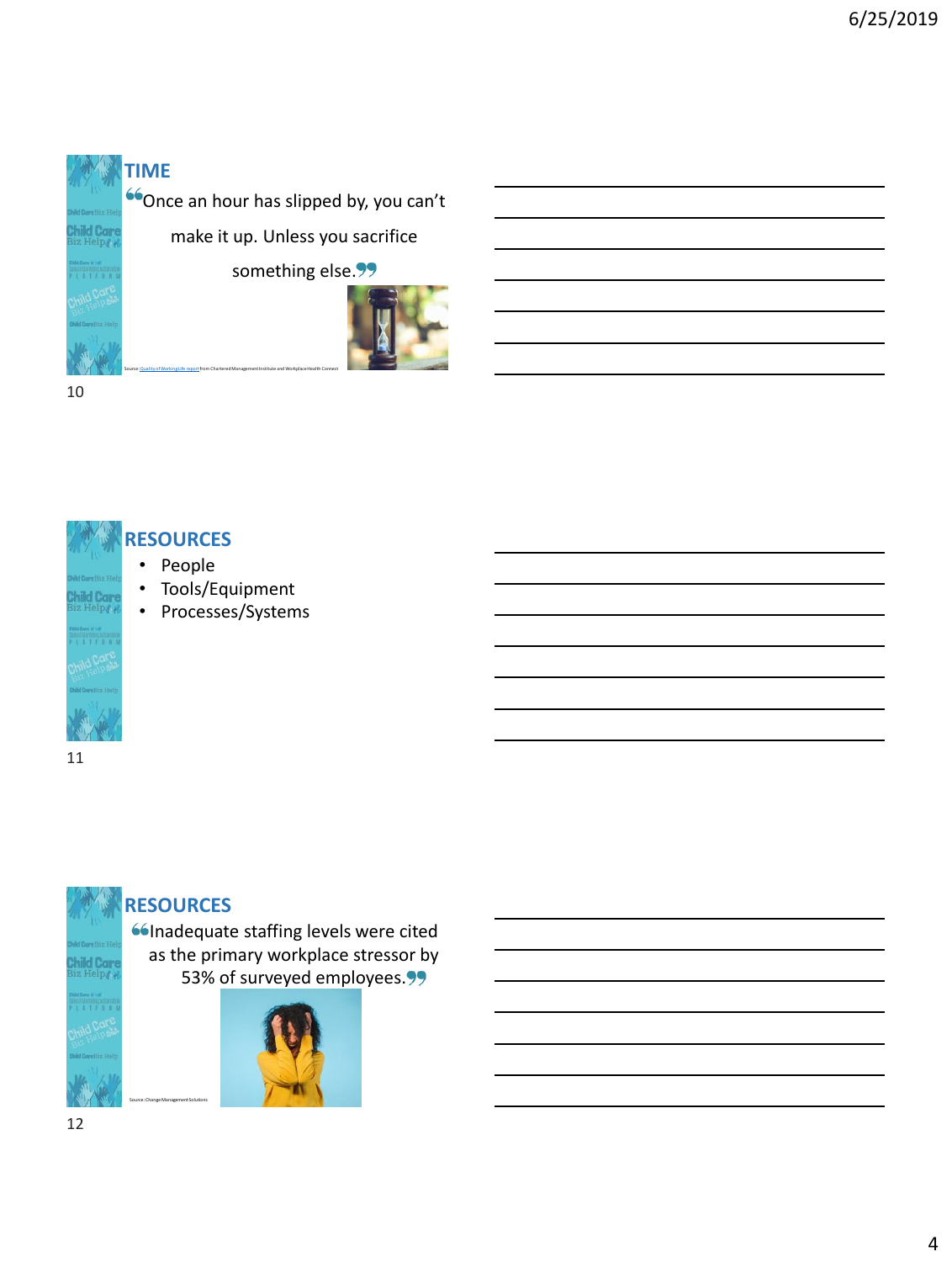# **TIME**

 $\left| \rule{0pt}{13pt} ^{\text{66}}$ Once an hour has slipped by, you can't

make it up. Unless you sacrifice

something else.<sup>99</sup>



10



#### • People **RESOURCES**

- Tools/Equipment
- Processes/Systems

11



#### **RESOURCES**

Source: Change Management Solutions

**Consequate staffing levels were cited** as the primary workplace stressor by 53% of surveyed employees.<sup>99</sup>

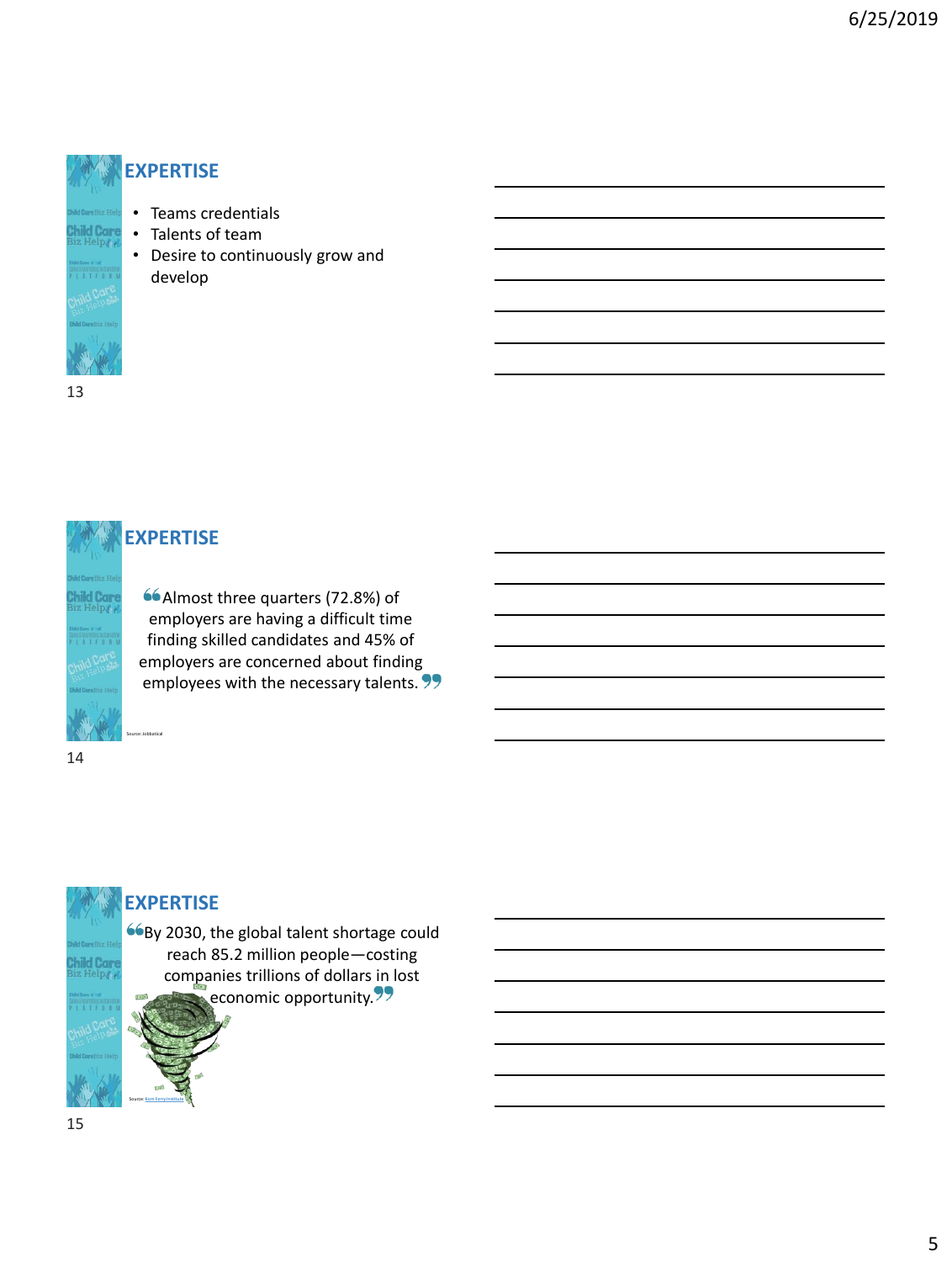



#### **EXPERTISE**

• Teams credentials • Talents of team

develop

• Desire to continuously grow and

Almost three quarters (72.8%) of employers are having a difficult time finding skilled candidates and 45% of employers are concerned about finding employees with the necessary talents. 99

14

### **EXPERTISE**

Source: [Korn Ferry Institute](https://dsqapj1lakrkc.cloudfront.net/media/sidebar_downloads/FOWTalentCrunchFinal_Spring2018.pdf)

By 2030, the global talent shortage could reach 85.2 million people—costing companies trillions of dollars in lost economic opportunity.<sup>99</sup>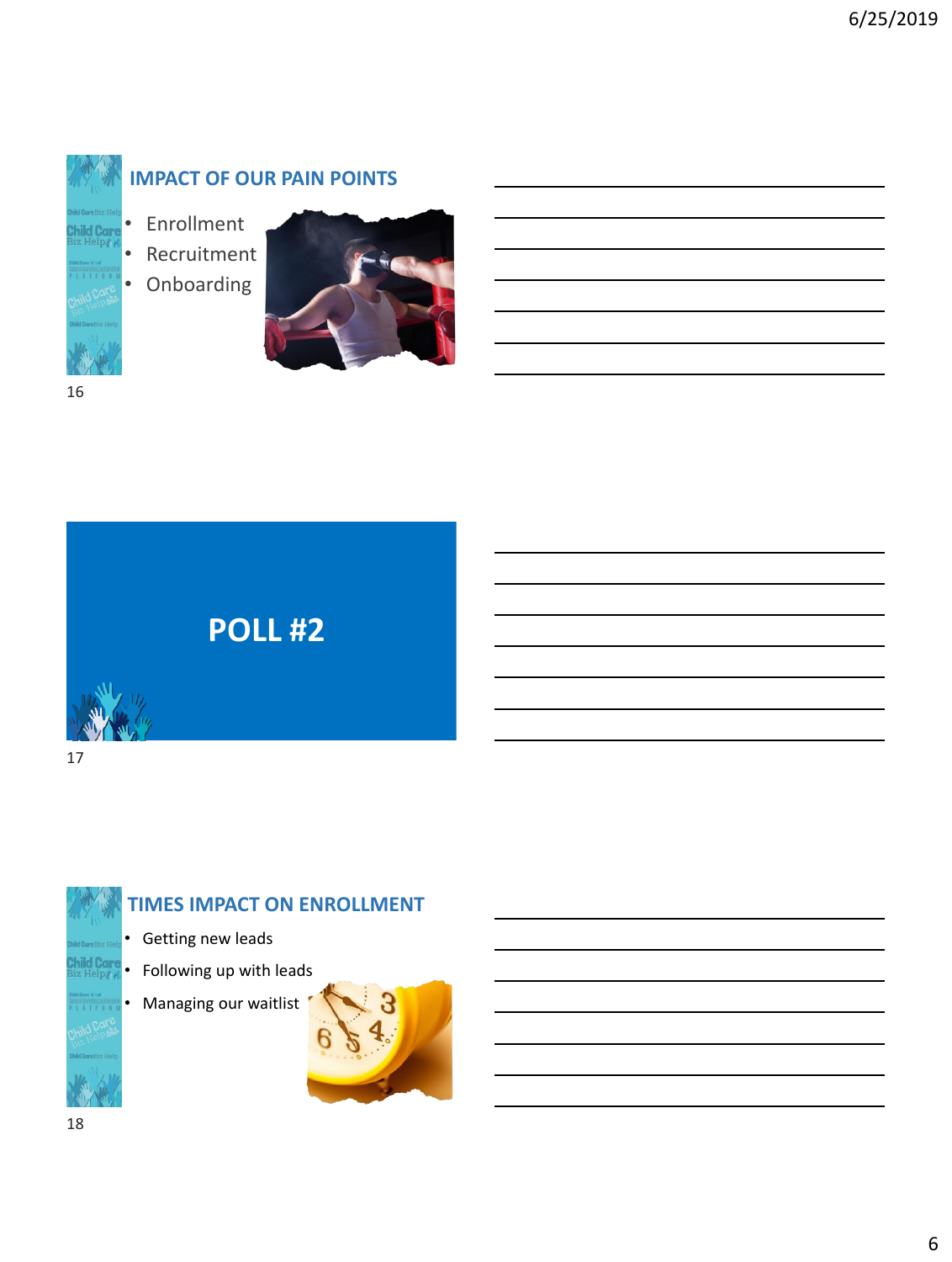

### **IMPACT OF OUR PAIN POINTS**

- **Enrollment**
- **Recruitment**

• Onboarding



**POLL #2**



17

# **TIMES IMPACT ON ENROLLMENT**  • Getting new leads • Following up with leads

• Managing our waitlist

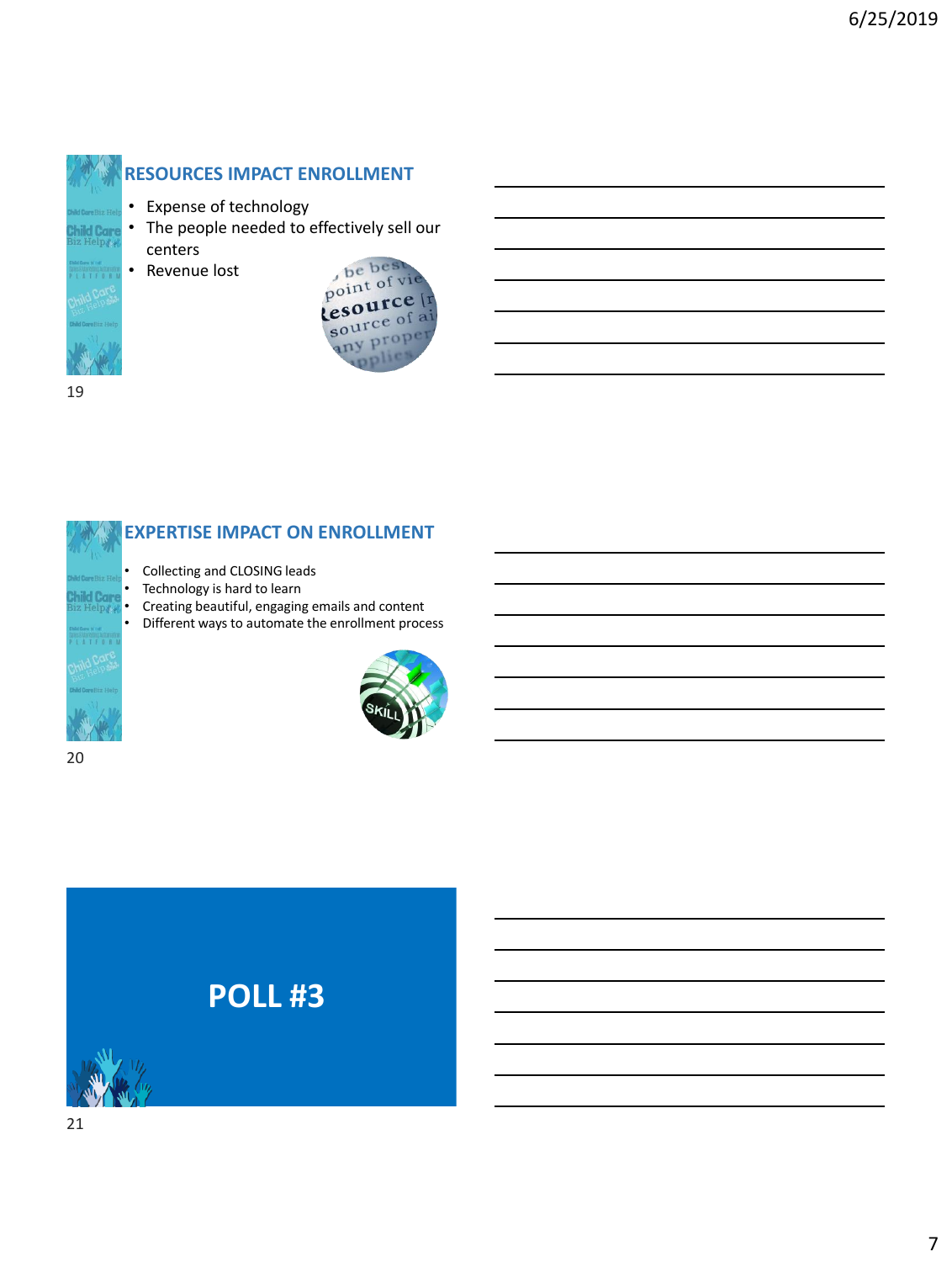



#### **RESOURCES IMPACT ENROLLMENT**

- Expense of technology
- The people needed to effectively sell our centers
	- Revenue lost





#### **EXPERTISE IMPACT ON ENROLLMENT**

- Collecting and CLOSING leads
- Technology is hard to learn
- Creating beautiful, engaging emails and content
- Different ways to automate the enrollment process



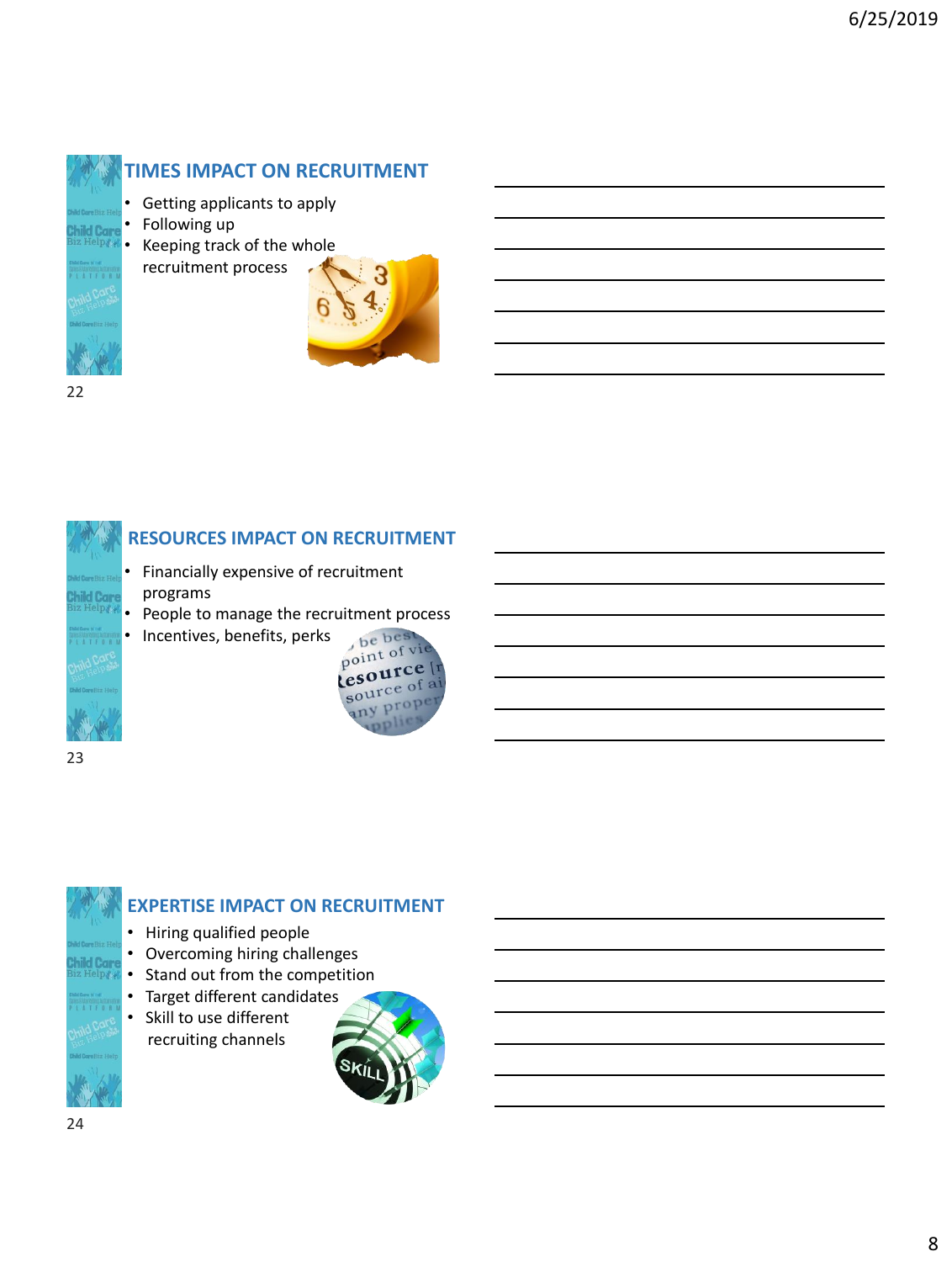



#### **RESOURCES IMPACT ON RECRUITMENT**

- Financially expensive of recruitment programs
- People to manage the recruitment process<br>• Incentives, benefits, perks
- Incentives, benefits, perks

recruitment process



23

### **EXPERTISE IMPACT ON RECRUITMENT**

- Hiring qualified people
- Overcoming hiring challenges
- Stand out from the competition
- Target different candidates • Skill to use different
	- recruiting channels

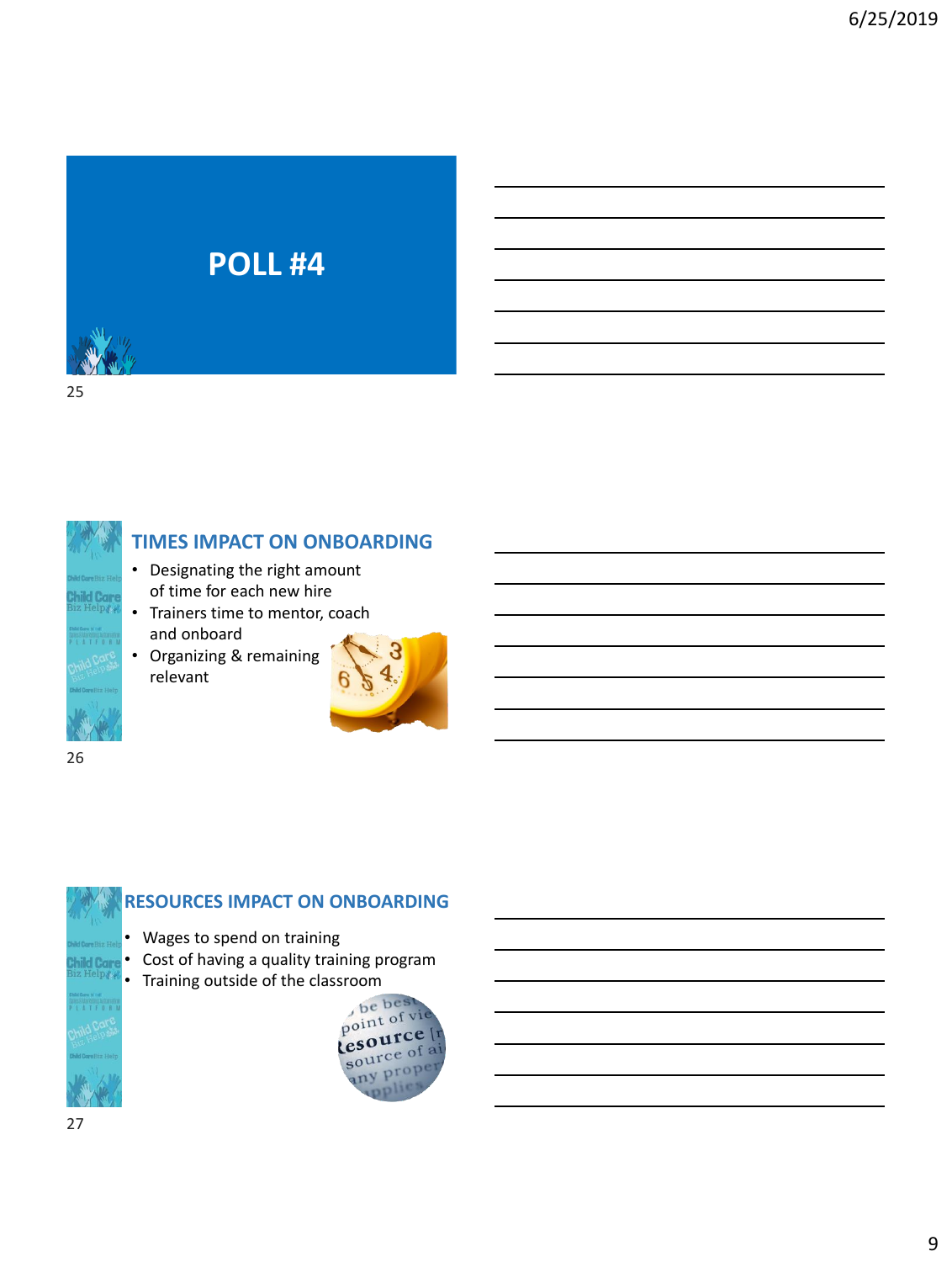# **POLL #4**

25



#### **TIMES IMPACT ON ONBOARDING**

- Designating the right amount of time for each new hire
- Trainers time to mentor, coach and onboard
- Organizing & remaining relevant



26

# **RESOURCES IMPACT ON ONBOARDING**

- Wages to spend on training
- Cost of having a quality training program
- Training outside of the classroom

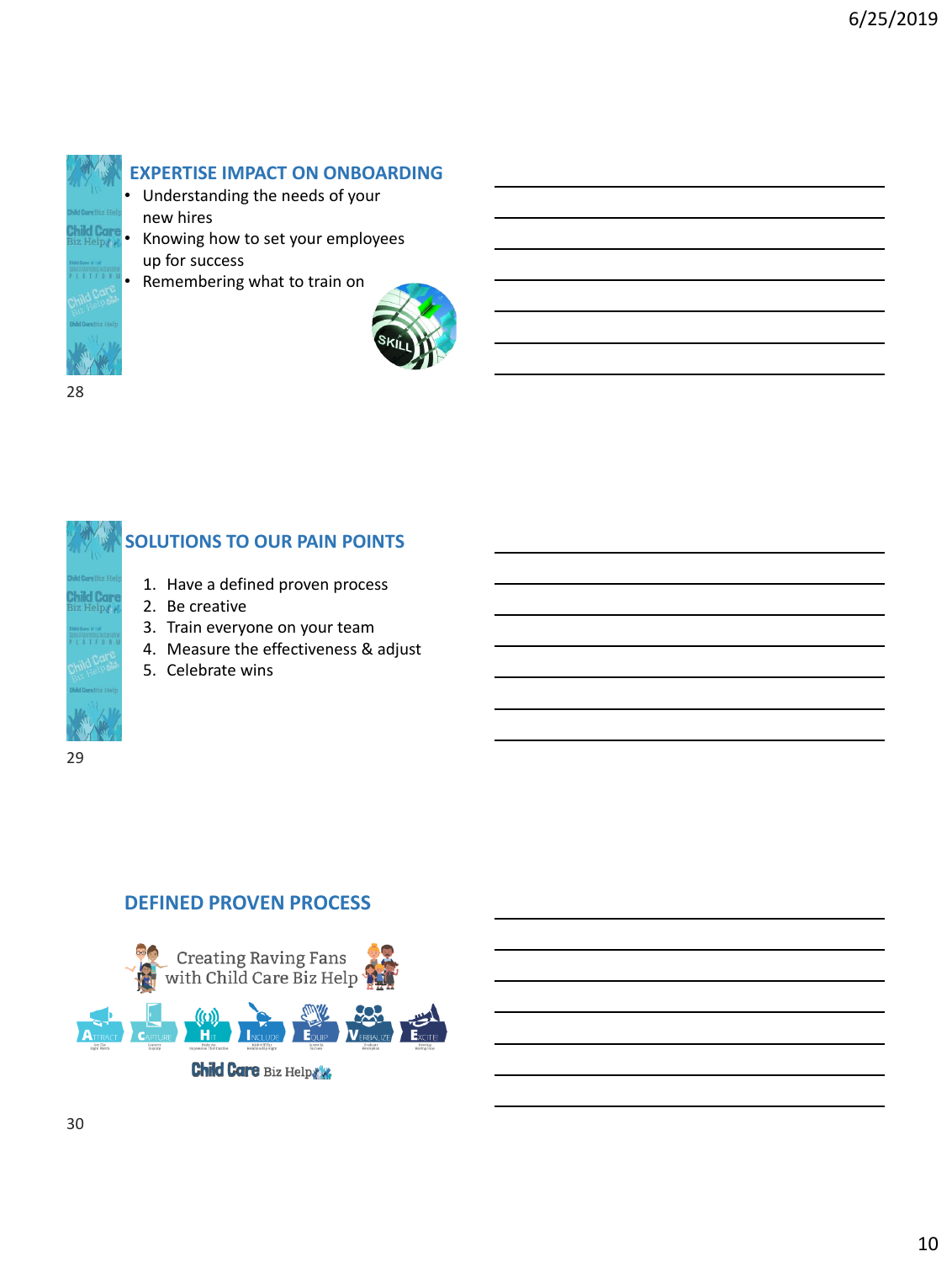

**EXPERTISE IMPACT ON ONBOARDING**

- Understanding the needs of your new hires
- Knowing how to set your employees up for success
- Remembering what to train on



28



#### **SOLUTIONS TO OUR PAIN POINTS**

- 1. Have a defined proven process
- 2. Be creative
- 3. Train everyone on your team
- 4. Measure the effectiveness & adjust
- 5. Celebrate wins

#### **DEFINED PROVEN PROCESS**

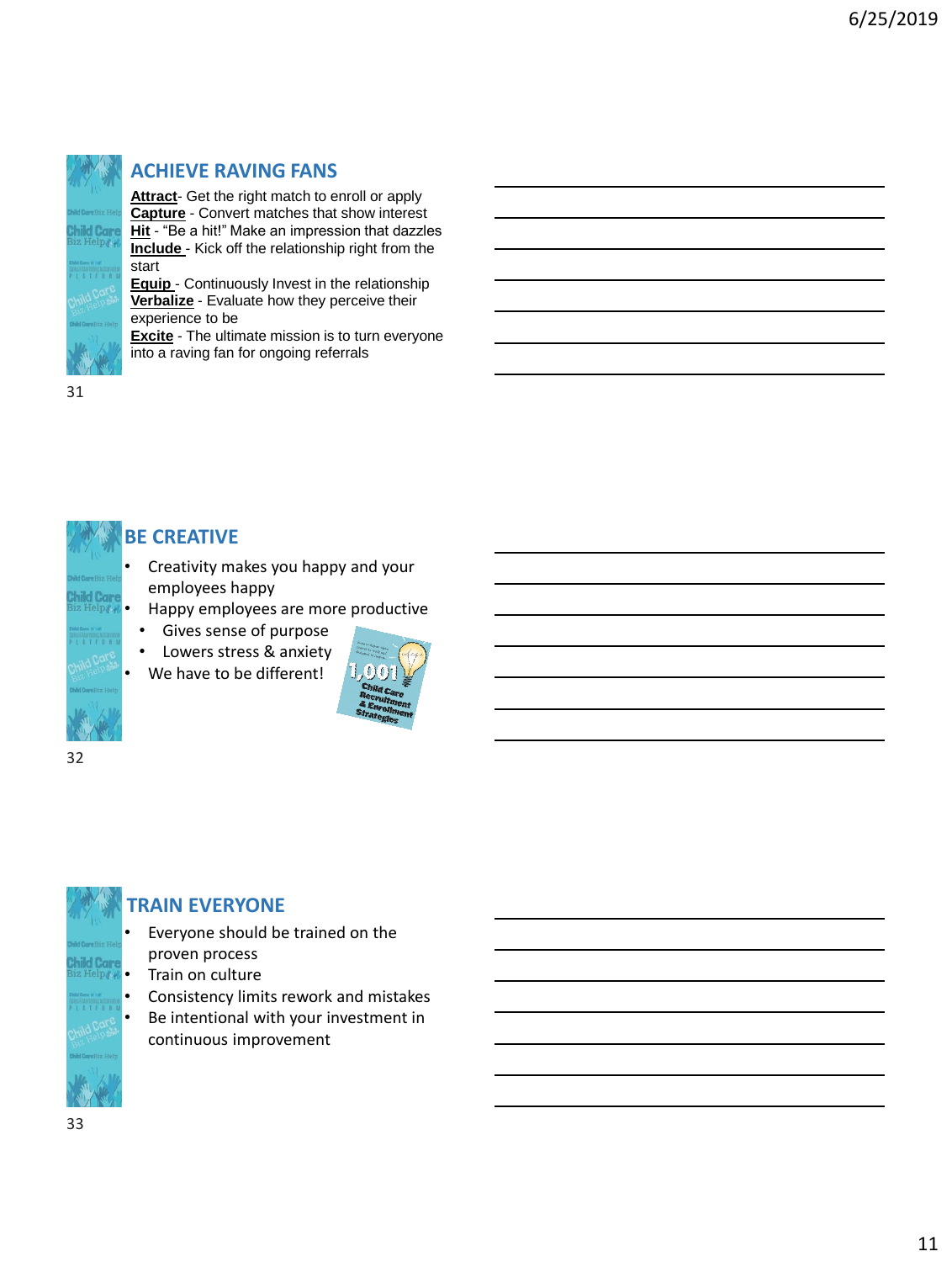

#### **ACHIEVE RAVING FANS**

**Attract**- Get the right match to enroll or apply **Capture** - Convert matches that show interest **Hit** - "Be a hit!" Make an impression that dazzles **Include** - Kick off the relationship right from the start

**Equip** - Continuously Invest in the relationship **Verbalize** - Evaluate how they perceive their experience to be

**Excite** - The ultimate mission is to turn everyone into a raving fan for ongoing referrals

31



#### **BE CREATIVE**

- Creativity makes you happy and your employees happy
- Happy employees are more productive
	- Gives sense of purpose
- Lowers stress & anxiety
- We have to be different!



32

## **TRAIN EVERYONE**

- Everyone should be trained on the proven process
- Train on culture
- Consistency limits rework and mistakes
- Be intentional with your investment in continuous improvement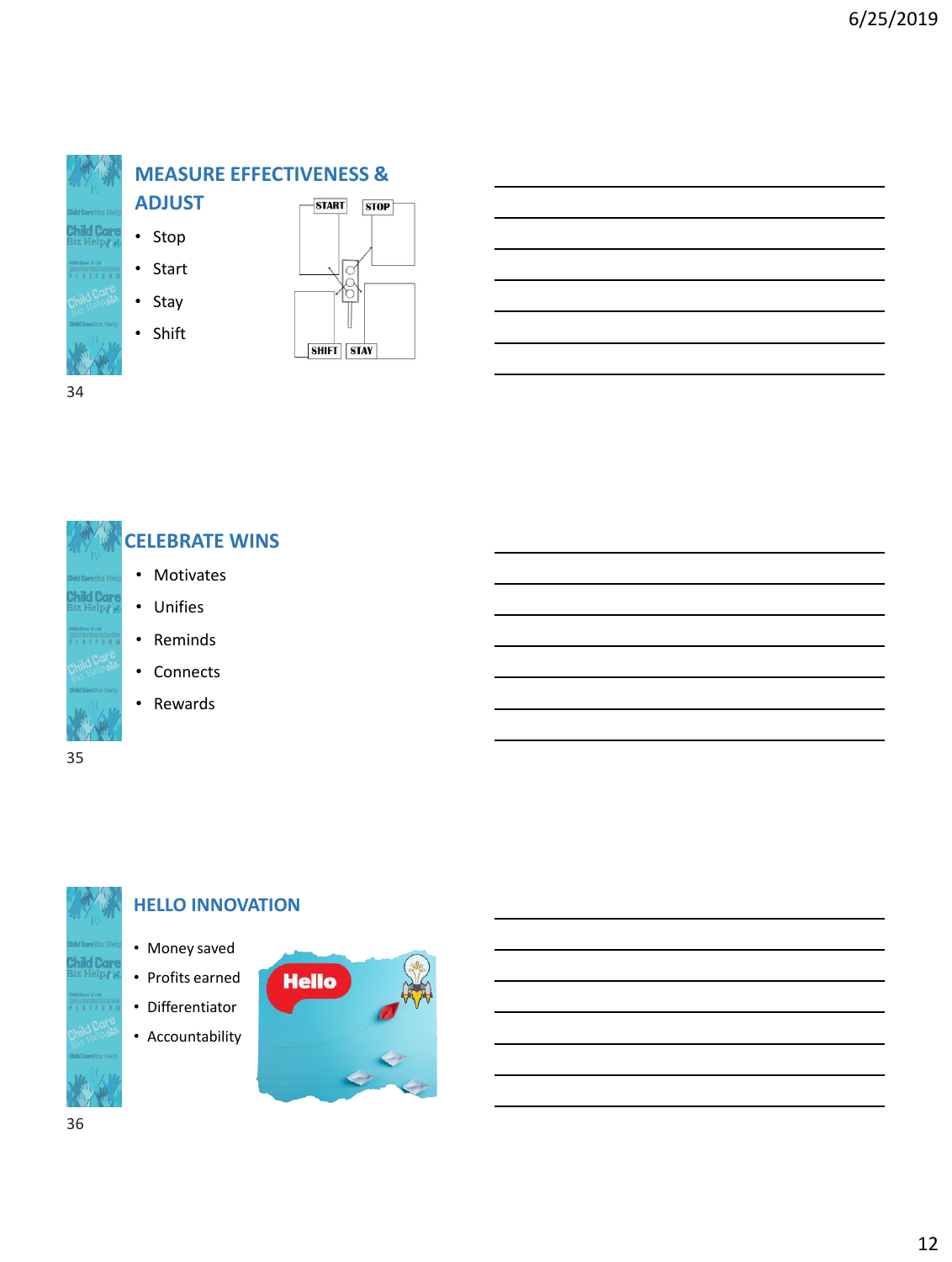

#### **MEASURE EFFECTIVENESS &**



• Start

• Stay

• Shift



34





#### **HELLO INNOVATION**

- Money saved
- Profits earned
- Differentiator
- Accountability

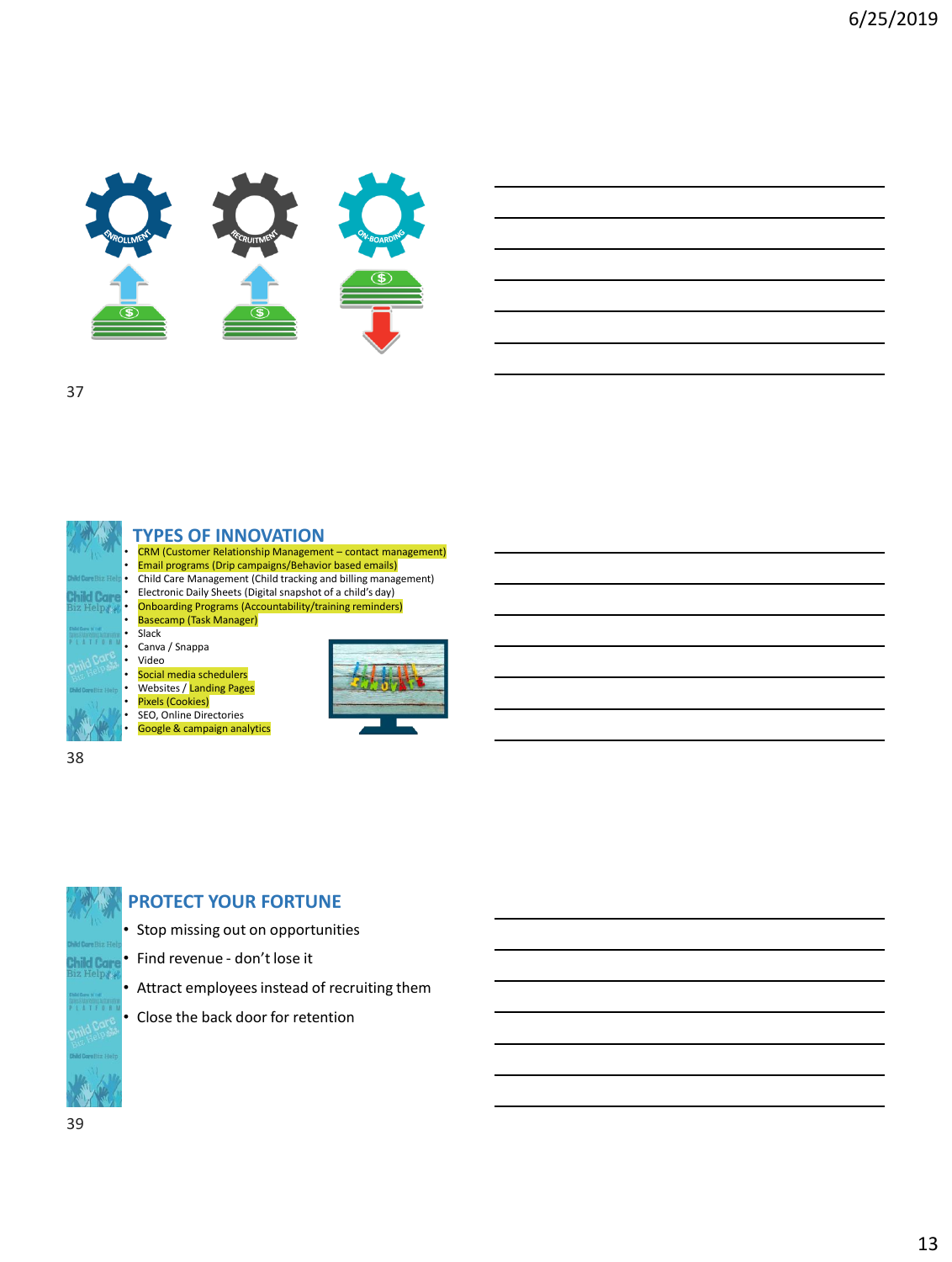





#### **TYPES OF INNOVATION**

• CRM (Customer Relationship Management – contact management) • Email programs (Drip campaigns/Behavior based emails)

• Child Care Management (Child tracking and billing management)

- Electronic Daily Sheets (Digital snapshot of a child's day)<br>• Ophoarding Programs (Accountability/training reminders)
- Onboarding Programs (Accountability/training reminders) Basecamp (Task Manager)

#### • Slack

• Canva / Snappa

#### • Video

Social media schedulers

#### Websites / Landing Pages

#### • Pixels (Cookies)

SEO, Online Directories Google & campaign analytics





#### **PROTECT YOUR FORTUNE**

- Stop missing out on opportunities
- Find revenue don't lose it
- Attract employees instead of recruiting them
- Close the back door for retention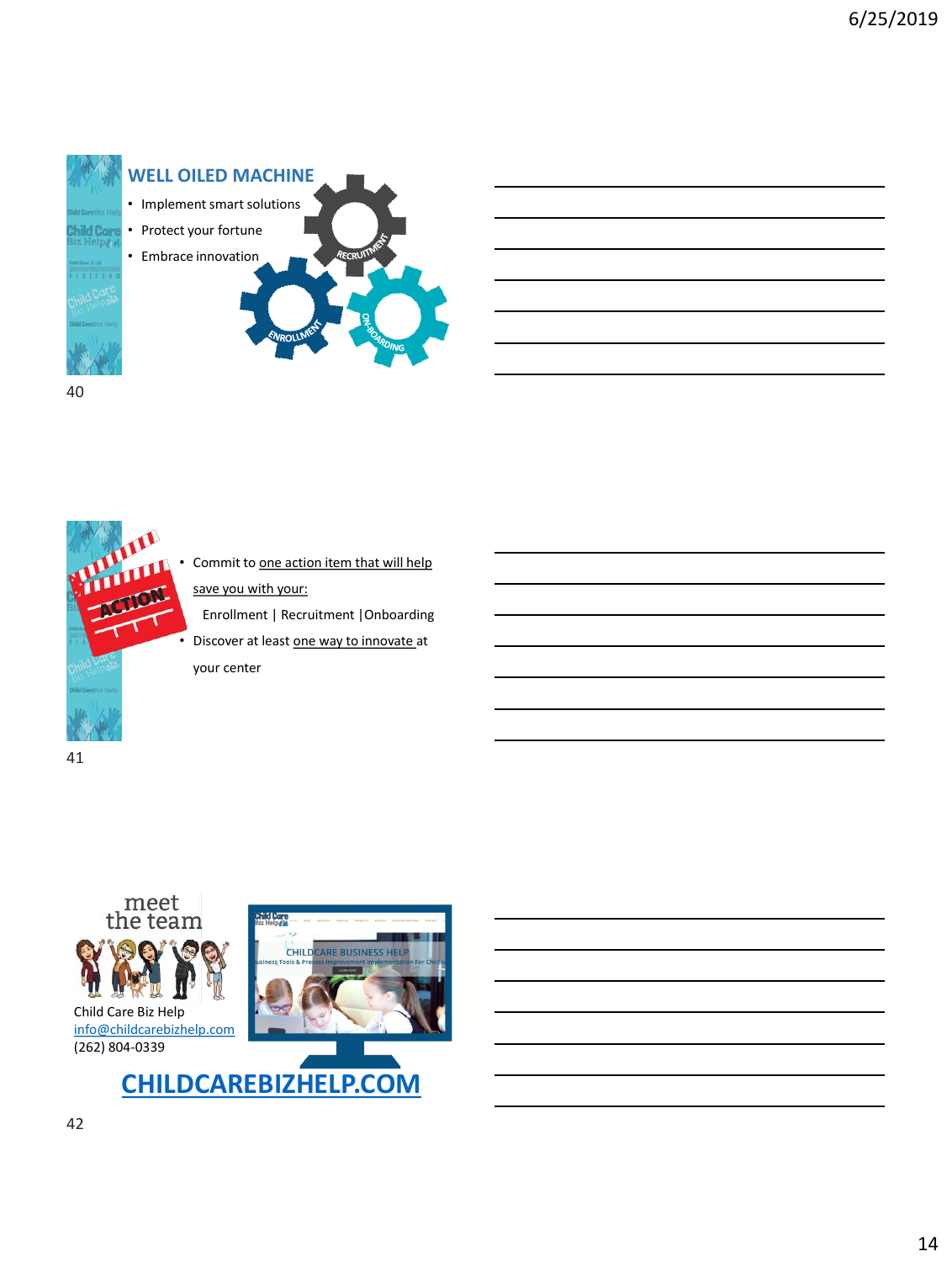





Commit to one action item that will help save you with your:

Enrollment | Recruitment |Onboarding

• Discover at least one way to innovate at your center

41



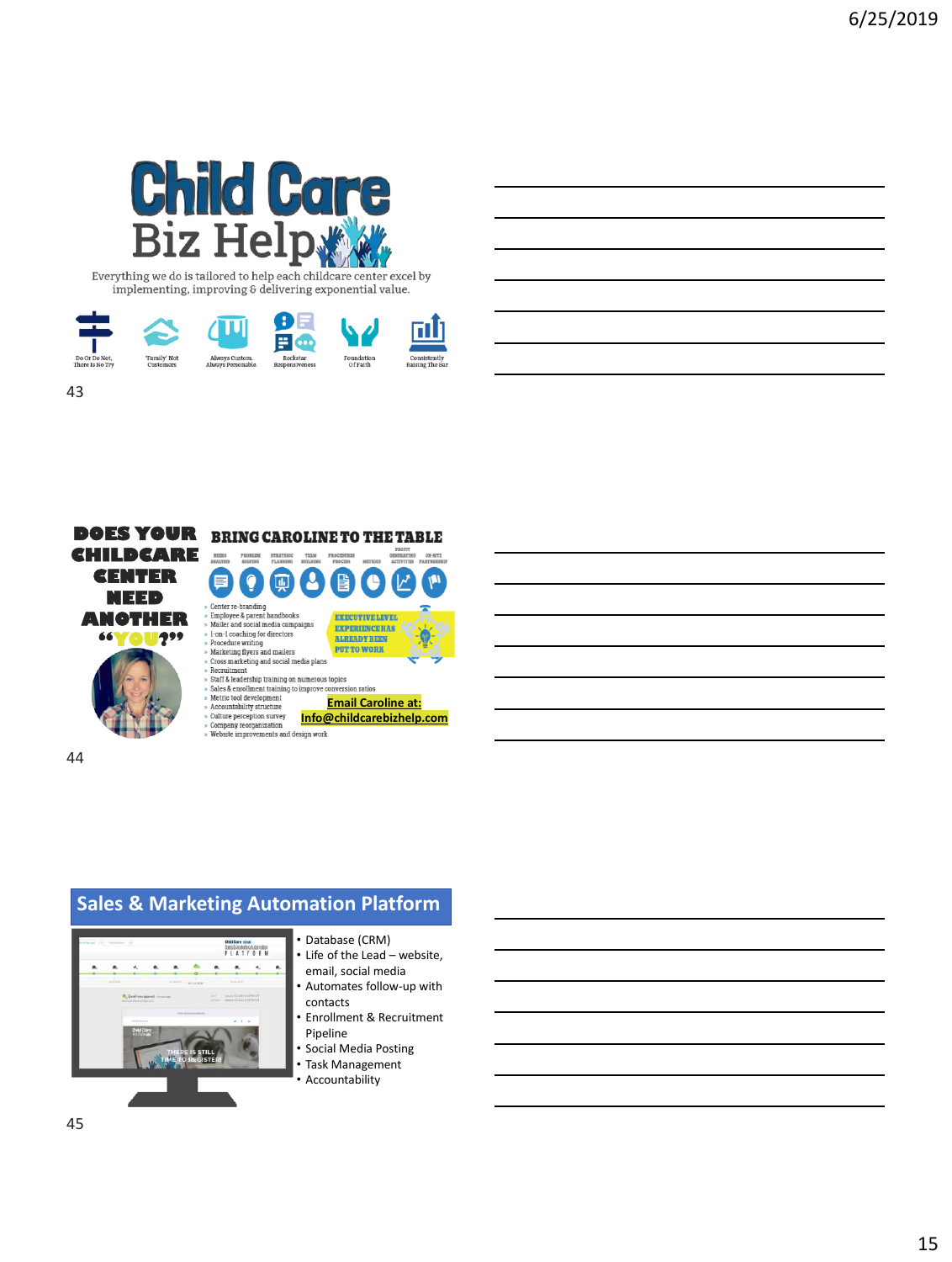

Everything we do is tailored to help each childcare center excel by implementing, improving & delivering exponential value.



ρ

**EXECUTIVE LEVEL EXPERIENCE HAS ALREADY BEEN PUT TO WORK** 



44

43



#### • Database (CRM)

- Life of the Lead website, email, social media
- Automates follow-up with contacts
- Enrollment & Recruitment Pipeline
- Social Media Posting • Task Management
- Accountability